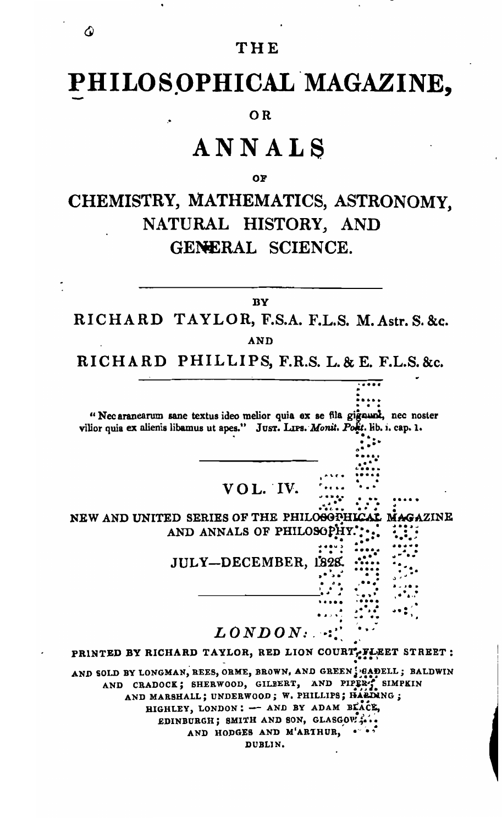### THE

# PHILOSOPHICAL MAGAZINE.

#### OR

# ANNALS

#### 0F

## CHEMISTRY, MATHEMATICS, ASTRONOMY. NATURAL HISTORY. AND GENERAL SCIENCE.

#### $\mathbf{R}\mathbf{V}$

RICHARD TAYLOR, F.S.A. F.L.S. M. Astr. S. &c. **AND** 

RICHARD PHILLIPS, F.R.S. L. & E. F.L.S. &c.

"Nec aranearum sane textus ideo melior quia ex se fila gignunt, nec noster vilior quia ex alienis libamus ut apes." JUST. LIPS. Monit. Post. lib. 1. cap. 1. VOL IV. NEW AND UNITED SERIES OF THE PHILOSO? **MAGAZINE** AND ANNALS OF PHILOSOPH JULY-DECEMBER, 182  $LONDON:$ PRINTED BY RICHARD TAYLOR, RED LION COURT, FLEET STREET: AND SOLD BY LONGMAN, REES, ORME, BROWN, AND GREEN PRADELL; BALDWIN AND CRADOCK; SHERWOOD, GILBERT, AND PIPER, SIMPKIN AND MARSHALL; UNDERWOOD; W. PHILLIPS; HARDING; HIGHLEY, LONDON: - AND BY ADAM BLACE, EDINBURGH; SMITH AND SON, GLASGOW ;...  $\bullet$   $\bullet$   $\bullet$ AND HODGES AND M'ARTHUR, DUBLIN.

۵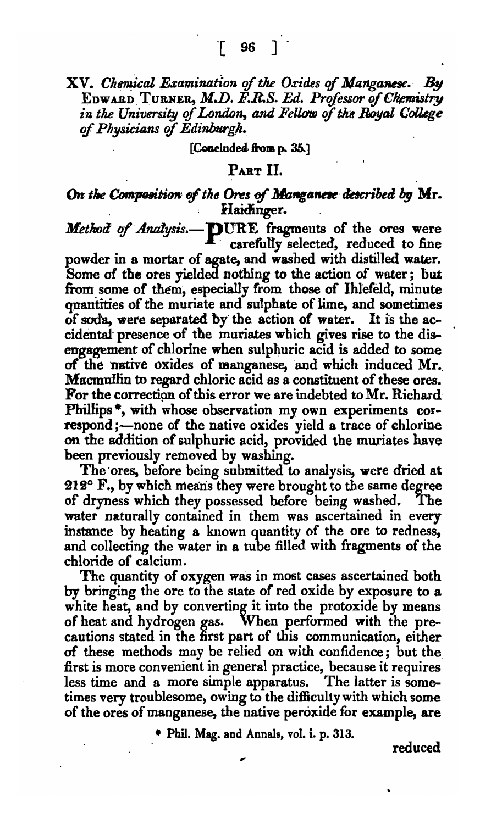### $T$  96 ]

xv. *Clu/1Mical JJ4amination qftke Oxides qfManga1ll!St.* By EDWARD TURNER, M.D. F.R.S. Ed. Professor of Chemistry *in tke University qfLondbn, and Felluw* of*tke Royal College* of*Physicians* of*Edinlmrg/t•*

[Concluded from p. 35.]

#### PART II.

#### *On: the Composition of the Ores of Manganese described by Mr.* Haidinger.

Method of Analysis.-- **pURE** fragments of the ores were . carefully selected, reduced to fine

powder in a mortar of agate, and washed with distilled water. Some of the ores yielded nothing to the action of water; but from some of them, especially from those of Ihlefeld, minute quantities of the muriate and sulphate of lime, and sometimes ofsoda, were separated by the action of water. It is the accidental-presence of the muriates which gives rise to the disengagement of chlorine when sulphuric acid is added to some of the native oxides of manganese, and which induced Mr. Macmullin to regard chloric acid as a constituent of these ores. For the correction of this error we are indebted to Mr. Richard Phillips<sup>\*</sup>, with whose observation my own experiments correspond;-none of the native oxides yield a trace of chlorine on the addition of sulphuric acid, provided the muriates have been previously removed by washing.

The ores, before being submitted to analysis, were dried at  $212^{\circ}$  F., by which means they were brought to the same degree of dryness which they possessed before being washed. The water naturally contained in them was ascertained in every instance by heating a known quantity of the ore to redness, and collecting the water in a tube filled with fragments of the chloride of calcium.

The quantity of oxygen was in most cases ascertained both by bringing the ore to the state of red oxide by exposure to a white heat, and by converting it into the protoxide by means of heat and hydrogen gas. When performed with the precautions stated in the first part of this communication, either of these methods may be relied on with confidence; but the first is more convenient in general practice, because it requires less time and a more simple apparatus. The latter is sometimes very troublesome, owing to the difficultywith which some of the ores of manganese, the native peroxide for example, are

\* Phil. Mag. and Annals, vol. i. p. 313.

reduced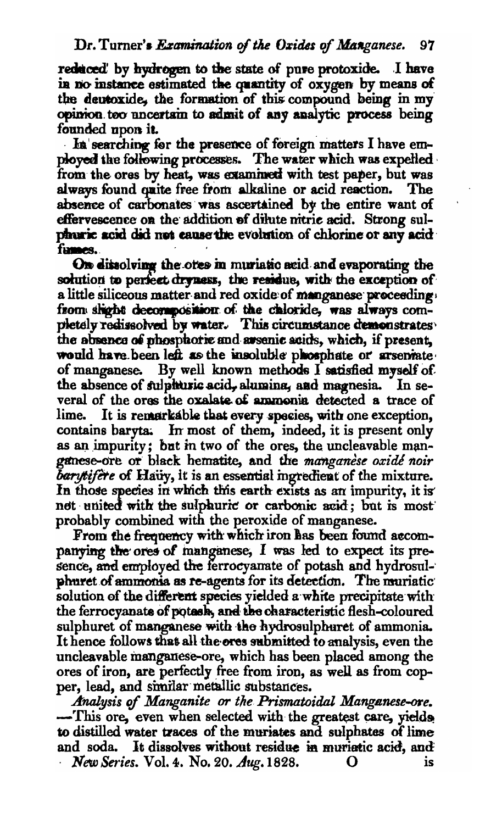reduced by hydrogen to the state of pure protoxide. I have in no instance estimated the quantity of oxygen by means of the deutoxide, the formation of this compound being in my opinion too uncertain to admit of any analytic process being founded upon it.

In searching for the presence of foreign matters I have employed the following processes. The water which was expelled from the ores by heat, was examined with test paper, but was always found quite free from alkaline or acid reaction. The absence of carbonates was ascertained by the entire want of effervescence on the addition of dilute nitric acid. Strong sulpharic acid did not cause the evolution of chlorine or any acid fumes.

On dissolving the ores in muriatic acid and evaporating the solution to perfect dryness, the residue, with the exception of a little siliceous matter and red oxide of manganese proceeding. from slight decomposition of the chloride, was always completely redissolved by water. This circumstance demonstrates the absence of phosphoric and assenic acids, which, if present, would have been left as the insoluble phosphate or arsemate of manganese. By well known methods I satisfied myself of the absence of sulphuric acid, alumina, and magnesia. In several of the orgs the oxalate of ammonia detected a trace of lime. It is remarkable that every species, with one exception. contains baryta. In most of them, indeed, it is present only as an impurity; but in two of the ores, the uncleavable manganese-ore or black hematite, and the manganese oxide noir *barytifere* of Hauy, it is an essential ingredient of the mixture. In those species in which this earth exists as an impurity, it is not united with the sulphuric or carbonic acid; but is most probably combined with the peroxide of manganese.

From the frequency with which iron has been found accompanying the ores of manganese, I was led to expect its presence, and employed the ferrocyanate of potash and hydrosulphuret of ammonia as re-agents for its detection. The muriatic solution of the different species yielded a white precipitate with the ferrocyanate of potests, and the characteristic flesh-coloured sulphuret of manganese with the hydrosulphuret of ammonia. It hence follows that all the ores submitted to analysis, even the uncleavable manganese-ore, which has been placed among the ores of iron, are perfectly free from iron, as well as from copper, lead, and similar metallic substances.

Analysis of Manganite or the Prismatoidal Manganese-ore. -This ore, even when selected with the greatest care, vields to distilled water traces of the muriates and sulphates of lime and soda. It dissolves without residue in muriatic acid, and New Series. Vol. 4. No. 20. Aug. 1828. o is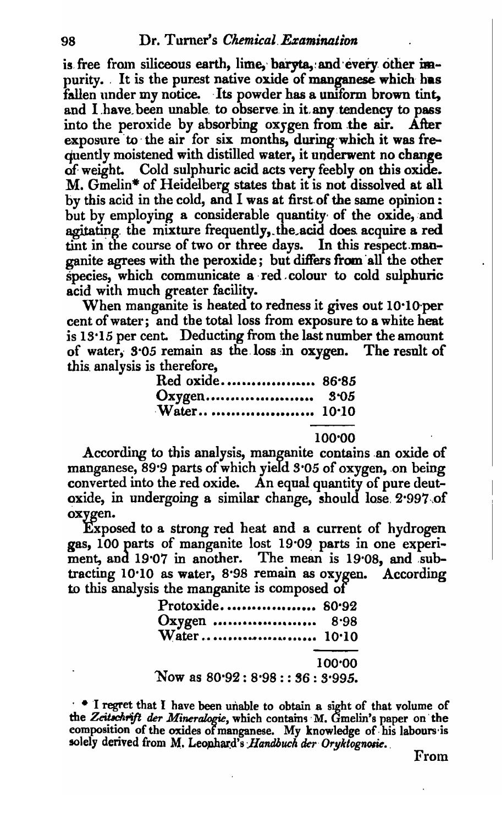is free from siliceous earth, lime, baryta, and every other impurity. It is the purest native oxide of manganese which has fallen under my notice. Its powder has a uniform brown tint, and I have been unable to observe in it any tendency to pass into the peroxide by absorbing  $\alpha x$  and  $\alpha$  from the air. After exposure to the air for six months, during which it was frequently moistened with distilled water, it underwent no change of weight. Cold sulphuric acid acts very feebly on this oxide. M. Gmelin\* of Heidelberg states that it is not dissolved at all by this acid in the cold, and I was at first of the same opinion: but by employing a considerable quantity of the oxide, and agitating. the mixture frequently,. the.acid does. acquire a red tint in the course of two or three days. In this respect.manganite agrees with the peroxide; but differs from all the other species, which communicate a red colour to cold sulphuric acid with much greater facility.

When manganite is heated to redness it gives out 10.10 per cent of water; and the total loss from exposure to a white heat is 13'15 per cent. Deducting from the last number the amount of water,  $3.05$  remain as the loss in oxygen. The result of this analysis is therefore,

| Red oxide 86.85 |  |
|-----------------|--|
| Oxygen 3.05     |  |
| Water 10.10     |  |
|                 |  |

100.00<br>According to this analysis, manganite contains an oxide of manganese, 89'9 parts ofwhich yield 3'05 of oxygen, on being converted into the red oxide, An equal quantity of pure deutoxide, in undergoing a similar change, should lose 2.997 of oxygen.

· Exposed to a strong red heat and a current of hydrogen gas, 100 parts of manganite lost 19'09 parts in one experiment, and 19'07 in another. The mean is 19'08, and subtracting 10'10 as water, 8'98 remain as oxygen. According 10 this analysis the manganite is composed of

| Protoxide 80.92                 |        |
|---------------------------------|--------|
| Oxygen  8.98<br>Water 10.10     |        |
|                                 |        |
|                                 | 100:00 |
| Now as 80.92: 8.98:: 36: 3.995. |        |

 $\cdot$   $\bullet$  I regret that I have been unable to obtain a sight of that volume of the Zeitschrift der Mineralogie, which contains M. Gmelin's paper on the composition of the oxides of manganese. My knowledge of his labours is 1IOIely denved from 1\1:. LeOJlhar.d's *HandJJuch der Or!lktognorie, .*

.From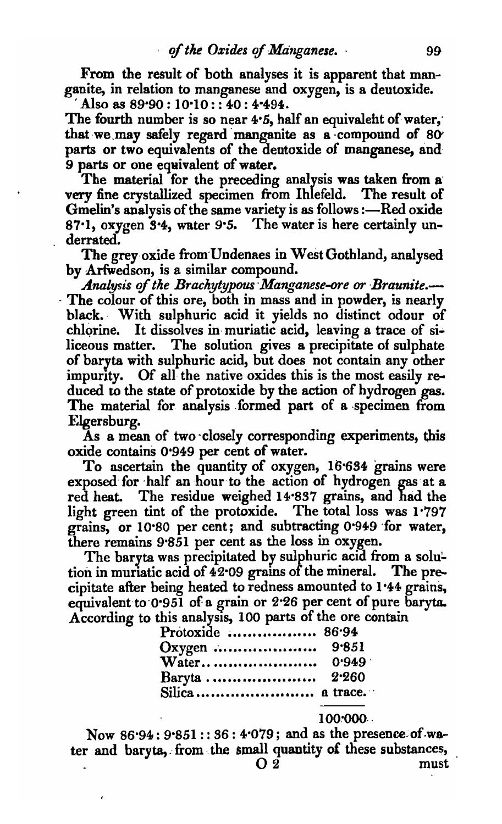From the result of both analyses it is apparent that manganite, in relation to manganese and oxygen, is a deutoxide.<br>  $\therefore$  Also as 89.90: 10.10:: 40: 4.494.

The fourth number is so near  $4.5$ , half an equivalent of water, that we may safely regard manganite as a compound of 80 parts or two equivalents of the deutoxide of manganese, and 9 parts or one equivalent of water.

The material for the preceding analysis was taken from a very fine crystallized specimen from Ihlefeld. The result of Gmelin's analysis of the same variety is as follows  $:$ —Red oxide 87.1, oxygen 3.4, water 9.5. The water is here certainly underrated.

The grey oxide from'Undenaes in West Gothland, analysed by Arfwedson, is a similar compound.

*Analysis* of the Brachytypous Manganese-ore or Braunite.-The colour of this ore, both in mass and in powder, is nearly black. With sulphuric acid it yields no distinct odour of chlorine. It dissolves in muriatic acid, leaving a trace of siliceous matter. The solution gives a precipitate of sulphate of baryta with sulphuric acid, but does not contain any other impurity. Of all the native oxides this is the most easily reduced to the state of protoxide by the action of hydrogen gas. The material for analysis formed part of a specimen from Elgersburg.

As a mean of two closely corresponding experiments, this oxide contains 0'949 per cent of water.

To ascertain the quantity of oxygen, 16·684 grains were exposed for 'half an hour to the action of hydrogen gas at a red heat. The residue weighed 14'837 grains, and had the light green tint of the protoxide. The total loss was 1'797 grains, or 10·80 per cent; and subtracting 0'949 'for water, there remains 9·851 per cent as the loss in oxygen.

The baryta was precipitated by sulphuric acid from a solution in muriatic acid of  $42.09$  grains of the mineral. The precipitate after being heated to redness amounted to 1'44 grains, equivalent to 0.951 of a grain or 2.26 per cent of pure baryta. According to this analysis, 100 parts of the ore contain

| Protoxide  86.94 |  |
|------------------|--|
|                  |  |
| Water 0.949      |  |
| Baryta  2.260    |  |
| Silica  a trace. |  |

#### 100'000,·

Now  $86.94: 9.851:: 36: 4.079$ ; and as the presence of water and baryta, from the small quantity of these substances,  $0<sub>2</sub>$  must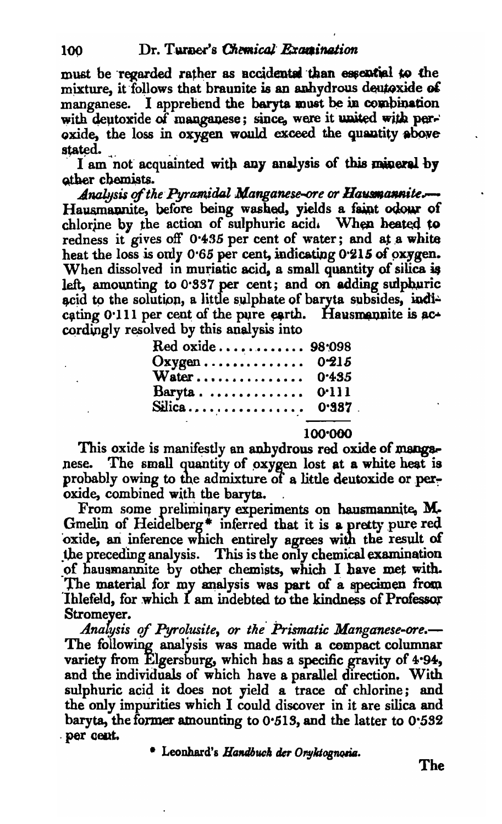must be regarded rather as accidental than essential to the mixture, it follows that braunite is an anhydrous deutoxide of manganese. I apprehend the baryta must be in combination with deutoxide of manganese; since, were it united with peroxide, the loss in oxygen would exceed the quantity above stated.

I am not acquainted with any analysis of this mineral by other chemists.

Analysis of the Pyramidal Manganese-ore or Hausmannite. Hausmannite, before being washed, yields a faint odour of chlorine by the action of sulphuric acid. When heated to redness it gives off 0.435 per cent of water; and at a white heat the loss is only 0.65 per cent, indicating 0.215 of oxygen. When dissolved in muriatic acid, a small quantity of silica is left, amounting to 0.837 per cent; and on adding sulphuric acid to the solution, a little sulphate of baryta subsides, indicating 0.111 per cent of the pure earth. Hausmannite is accordingly resolved by this analysis into

| Red oxide  98.098 |  |
|-------------------|--|
| Oxygen $0-215$    |  |
| Water 0.435       |  |
| Baryta $0.111$    |  |
| Silica 0.987      |  |
|                   |  |

#### $100:000$

This oxide is manifestly an anhydrous red oxide of manganese. The small quantity of oxygen lost at a white heat is probably owing to the admixture of a little deutoxide or peroxide, combined with the baryta.

From some preliminary experiments on hausmannite, M. Gmelin of Heidelberg\* inferred that it is a pretty pure red oxide, an inference which entirely agrees with the result of the preceding analysis. This is the only chemical examination of hausmannite by other chemists, which I have met with. The material for my analysis was part of a specimen from Thlefeld, for which I am indebted to the kindness of Professor Stromeyer.

Analysis of Pyrolusite, or the Prismatic Manganese-ore.-The following analysis was made with a compact columnar variety from Elgersburg, which has a specific gravity of 4.94, and the individuals of which have a parallel direction. With sulphuric acid it does not yield a trace of chlorine; and the only impurities which I could discover in it are silica and baryta, the former amounting to  $0.613$ , and the latter to  $0.632$ per cent.

\* Leonhard's Handbuch der Oryktognosia.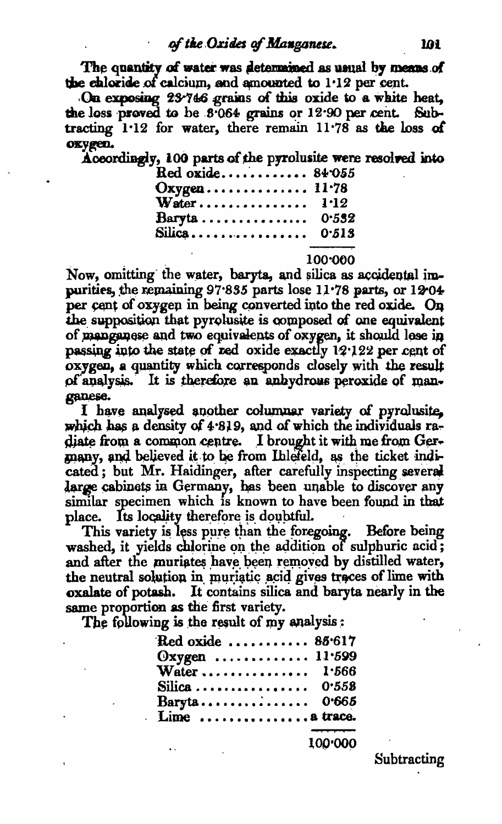The quantity of water was determined as usual by means of the chloride of calcium, and amounted to 1.12 per cent.

On exposing 23-746 grains of this oxide to a white heat, the loss proved to be 8.064 grains or 12.90 per cent. Subtracting  $1.12$  for water, there remain  $11.78$  as the loss of oxygen.

Accordingly, 100 parts of the pyrolusite were resolved into

| Red oxide 84055 |  |
|-----------------|--|
| Oxygen 11.78    |  |
|                 |  |
| Baryta  0.532   |  |
| Silica 0.513    |  |
|                 |  |

#### $100:000$

Now, omitting the water, baryta, and silica as accidental impurities, the remaining 97.835 parts lose 11.78 parts, or 12.04 per cent of oxygen in being converted into the red oxide. On the supposition that pyrolusite is composed of one equivalent of manganese and two equivalents of oxygen, it should lese in passing into the state of red oxide exactly 12.122 per cent of oxygen, a quantity which corresponds closely with the result of analysis. It is therefore an analydrous peroxide of manganese.

I have analysed another columnar variety of pyrolusite, which has a density of 4.819, and of which the individuals radiate from a common centre. I brought it with me from Germany, and believed it to be from Ihlefeld, as the ticket indicated; but Mr. Haidinger, after carefully inspecting several large cabinets in Germany, has been unable to discover any similar specimen which is known to have been found in that place. Its locality therefore is doubtful.

This variety is less pure than the foregoing. Before being washed, it yields chlorine on the addition of sulphuric acid; and after the muriates have been removed by distilled water, the neutral solution in muriatic acid gives traces of lime with oxalate of potash. It contains silica and baryta nearly in the same proportion as the first variety.

The following is the result of my analysis:

| Red oxide $85.617$ |  |
|--------------------|--|
| Oxygen $11.599$    |  |
| Water $1.566$      |  |
| Silica $0.558$     |  |
| Baryta $0.665$     |  |
|                    |  |

100.000

Subtracting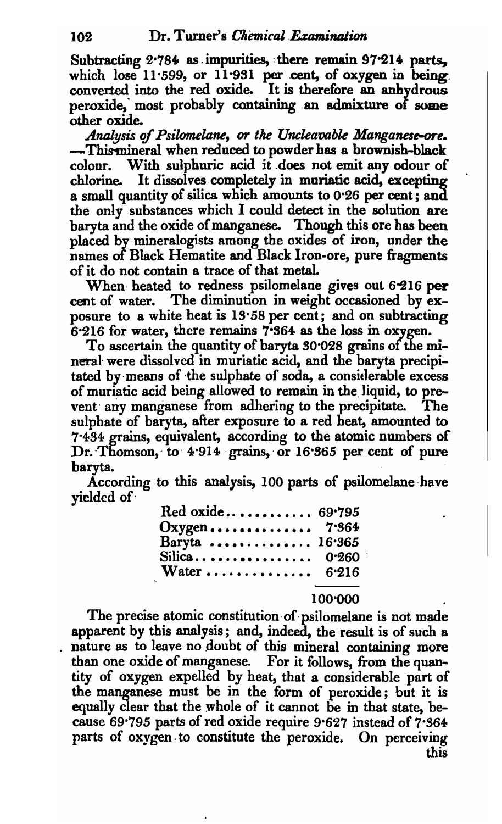Subtracting 2.784 as impurities, there remain 97.214 parts, which lose  $11.599$ , or  $11.981$  per cent, of oxygen in being. converted into the red oxide. It is therefore an anhydrous peroxide, most probably containing an admixture of some other oxide.

*Analysis* f?I *Psilomelane, or tke Uncleavable Manganese-ore.* --Thismineral when reduced to powder has a brownish-black colour, With sulphuric acid it ,does not emit any odour of chlorine. It dissolves completely in muriatic acid, excepting a small quantity of silica which amounts to  $0.26$  per cent; and the only substances which I could detect in the solution are baryta and the oxide of manganese. Though this ore has been placed by mineralogists among the oxides of iron, under the names of Black Hematite and Black Iron-ore, pure fragments of it do not contain a trace of that metal.

When heated to redness psilomelane gives out  $6-216$  per cent of water, The diminution in weight occasioned by exposure to a white heat is IS'58 per cent; and on subtracting 6'216 for water, there remains 7'864 as the loss in oxygen,

To ascertain the quantity of baryta  $30.028$  grains of the mineral were dissolved in muriatic acid, and the baryta precipitated by means of 'the sulphate of soda, a considerable excess of muriatic acid being allowed to remain in the, liquid, to prevent any manganese from adhering to the precipitate. The sulphate of baryta, after exposure to a red heat, amounted to 7'484 grains, equivalent, according to the atomic numbers of Dr. Thomson, to:  $4.914$  grains, or  $16.365$  per cent of pure baryta. The contract of the contract of the contract of the contract of the contract of the contract of the contract of the contract of the contract of the contract of the contract of the contract of the contract of the co

According to this analysis, 100 parts of psilomelane have yielded of

| Red oxide $69.795$ |  |
|--------------------|--|
| Oxygen 7.364       |  |
| Baryta  16.365     |  |
| Silica $0.260$     |  |
| Water $6.216$      |  |
|                    |  |

#### 100'000

The precise atomic constitution of psilomelane is not made apparent by this analysis; and, indeed, the result is of such a nature as to leave no doubt of this mineral containing more than one oxide of manganese. For it follows, from the quantity of oxygen expelled by heat, that a considerable part of the manganese must be in the form of peroxide; but it is equally clear that the whole of it cannot be in that state, because 69'795 parts of red oxide require 9'627 instead of 7'864 parts of oxygen· to constitute the peroxide, On perceiving this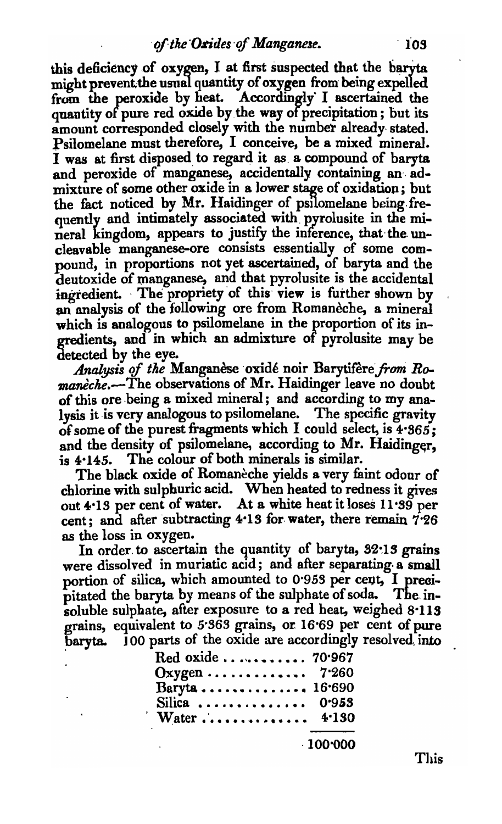this deficiency of oxygen, I at first suspected that the baryta might prevent the usual quantity of oxygen from being expelled from the peroxide by heat. Accordingly I ascertained the quantity of pure red oxide by the way of precipitation; but its amount corresponded closely with the number already. stated. psilomelane must therefore, I conceive, be a mixed mineral. I was at first disposed to regard it as. & compound of baryta and peroxide of manganese, accidentally containing an admixture of some other oxide in a lower stage of oxidation; but the fact noticed by Mr. Haidinger of psilomelane being.frequendy and intimately associated with. pyrolusite in the mineral kingdom, appears to justify the inference, that the uncleavable manganese-ore consists essentially of some compound, in proportions not yet ascertained, of baryta and the deutoxide of manganese, and that pyrolusite is the accidental ingredient. The propriety of this view is further shown by an analysis of the following ore from Romaneche, a mineral which is analogous to psilomelane in the proportion of its ingredients, and in which an admixture of pyrolusite may be detected by the eye.

Analysis of the Manganese oxidé noir Barytifere from Ro*manecke.-*The observations of Mr. Haidinger leave no doubt ofthis ore being a mixed mineral; and according to my analysis it is very analogous to psilomelane. The specific gravity of some of the purest fragments which I could select, is  $4.365$ : and the density of psilomelane, according to Mr. Haidinger, is 4'145. The colour of both minerals is similar.

The black oxide of Romaneche yields a very faint odour of chlorine with sulphuric acid. When heated to redness it gives out 4'18 per cent of water. At a white heat it loses 11'89 per cent; and after subtracting 4.13 for water, there remain  $7.26$ as the loss in oxygen.

In order to ascertain the quantity of baryta, 32.13 grains were dissolved in muriatic acid; and after separating. a small portion of silica, which amounted to  $0.953$  per cent, I precipitated the baryta by means of the sulphate of soda. The insoluble sulphate, after exposure to a red heat, weighed 8'118 grains, equivalent to 5'363 grains, or. 16'69 per cent of pure baryta. J00 parts of the oxide are accordingly resolved, into

| Red oxide  70.967                          |  |
|--------------------------------------------|--|
| Oxygen $\ldots \ldots \ldots \ldots$ 7.260 |  |
|                                            |  |
| Silica $0.953$                             |  |
| Water $4.130$                              |  |
|                                            |  |

·100'000

This'